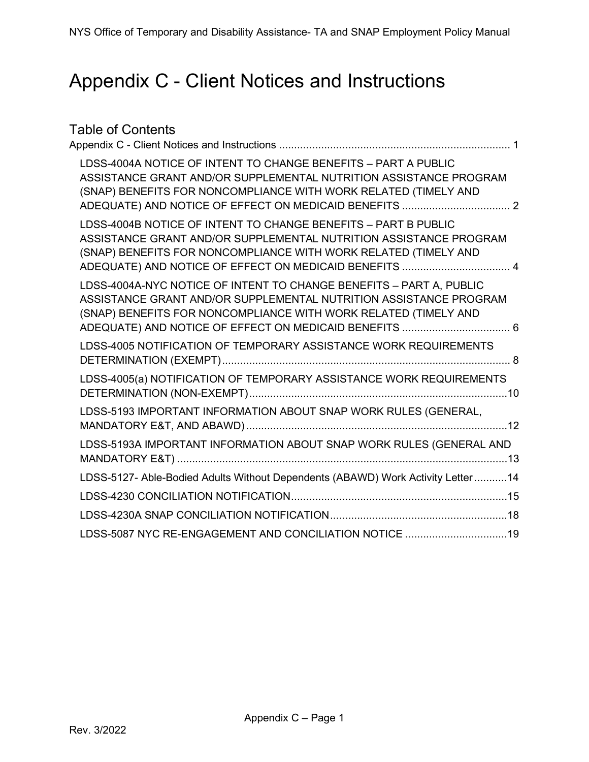# <span id="page-0-0"></span>Appendix C - Client Notices and Instructions

| <b>Table of Contents</b>                                                                                                                                                                                                                                         |  |
|------------------------------------------------------------------------------------------------------------------------------------------------------------------------------------------------------------------------------------------------------------------|--|
| LDSS-4004A NOTICE OF INTENT TO CHANGE BENEFITS - PART A PUBLIC<br>ASSISTANCE GRANT AND/OR SUPPLEMENTAL NUTRITION ASSISTANCE PROGRAM<br>(SNAP) BENEFITS FOR NONCOMPLIANCE WITH WORK RELATED (TIMELY AND                                                           |  |
| LDSS-4004B NOTICE OF INTENT TO CHANGE BENEFITS - PART B PUBLIC<br>ASSISTANCE GRANT AND/OR SUPPLEMENTAL NUTRITION ASSISTANCE PROGRAM<br>(SNAP) BENEFITS FOR NONCOMPLIANCE WITH WORK RELATED (TIMELY AND<br>ADEQUATE) AND NOTICE OF EFFECT ON MEDICAID BENEFITS  4 |  |
| LDSS-4004A-NYC NOTICE OF INTENT TO CHANGE BENEFITS - PART A, PUBLIC<br>ASSISTANCE GRANT AND/OR SUPPLEMENTAL NUTRITION ASSISTANCE PROGRAM<br>(SNAP) BENEFITS FOR NONCOMPLIANCE WITH WORK RELATED (TIMELY AND                                                      |  |
| LDSS-4005 NOTIFICATION OF TEMPORARY ASSISTANCE WORK REQUIREMENTS                                                                                                                                                                                                 |  |
| LDSS-4005(a) NOTIFICATION OF TEMPORARY ASSISTANCE WORK REQUIREMENTS                                                                                                                                                                                              |  |
| LDSS-5193 IMPORTANT INFORMATION ABOUT SNAP WORK RULES (GENERAL,                                                                                                                                                                                                  |  |
| LDSS-5193A IMPORTANT INFORMATION ABOUT SNAP WORK RULES (GENERAL AND                                                                                                                                                                                              |  |
| LDSS-5127- Able-Bodied Adults Without Dependents (ABAWD) Work Activity Letter14                                                                                                                                                                                  |  |
|                                                                                                                                                                                                                                                                  |  |
|                                                                                                                                                                                                                                                                  |  |
| LDSS-5087 NYC RE-ENGAGEMENT AND CONCILIATION NOTICE 19                                                                                                                                                                                                           |  |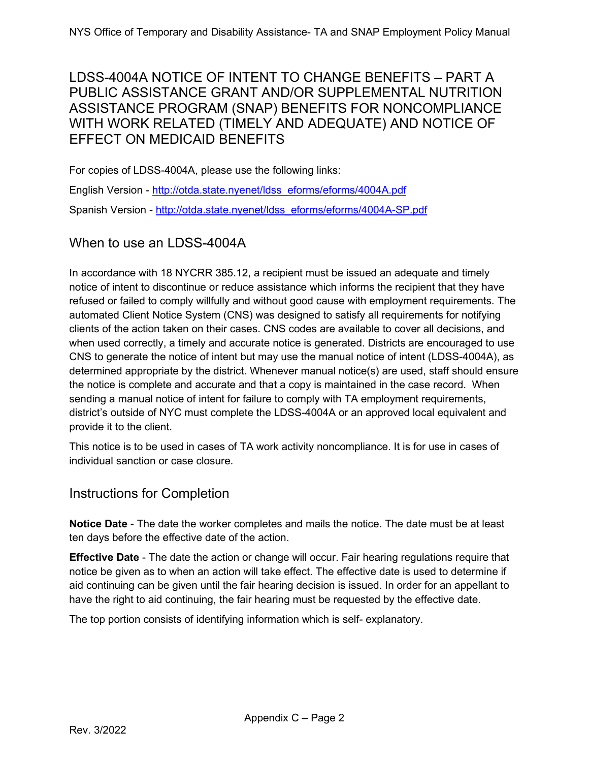# <span id="page-1-0"></span>LDSS-4004A NOTICE OF INTENT TO CHANGE BENEFITS – PART A PUBLIC ASSISTANCE GRANT AND/OR SUPPLEMENTAL NUTRITION ASSISTANCE PROGRAM (SNAP) BENEFITS FOR NONCOMPLIANCE WITH WORK RELATED (TIMELY AND ADEQUATE) AND NOTICE OF EFFECT ON MEDICAID BENEFITS

For copies of LDSS-4004A, please use the following links:

English Version - [http://otda.state.nyenet/ldss\\_eforms/eforms/4004A.pdf](http://otda.state.nyenet/ldss_eforms/eforms/4004A.pdf) Spanish Version - [http://otda.state.nyenet/ldss\\_eforms/eforms/4004A-SP.pdf](http://otda.state.nyenet/ldss_eforms/eforms/4004A-SP.pdf)

# When to use an LDSS-4004A

In accordance with 18 NYCRR 385.12, a recipient must be issued an adequate and timely notice of intent to discontinue or reduce assistance which informs the recipient that they have refused or failed to comply willfully and without good cause with employment requirements. The automated Client Notice System (CNS) was designed to satisfy all requirements for notifying clients of the action taken on their cases. CNS codes are available to cover all decisions, and when used correctly, a timely and accurate notice is generated. Districts are encouraged to use CNS to generate the notice of intent but may use the manual notice of intent (LDSS-4004A), as determined appropriate by the district. Whenever manual notice(s) are used, staff should ensure the notice is complete and accurate and that a copy is maintained in the case record. When sending a manual notice of intent for failure to comply with TA employment requirements, district's outside of NYC must complete the LDSS-4004A or an approved local equivalent and provide it to the client.

This notice is to be used in cases of TA work activity noncompliance. It is for use in cases of individual sanction or case closure.

#### Instructions for Completion

**Notice Date** - The date the worker completes and mails the notice. The date must be at least ten days before the effective date of the action.

**Effective Date** - The date the action or change will occur. Fair hearing regulations require that notice be given as to when an action will take effect. The effective date is used to determine if aid continuing can be given until the fair hearing decision is issued. In order for an appellant to have the right to aid continuing, the fair hearing must be requested by the effective date.

The top portion consists of identifying information which is self- explanatory.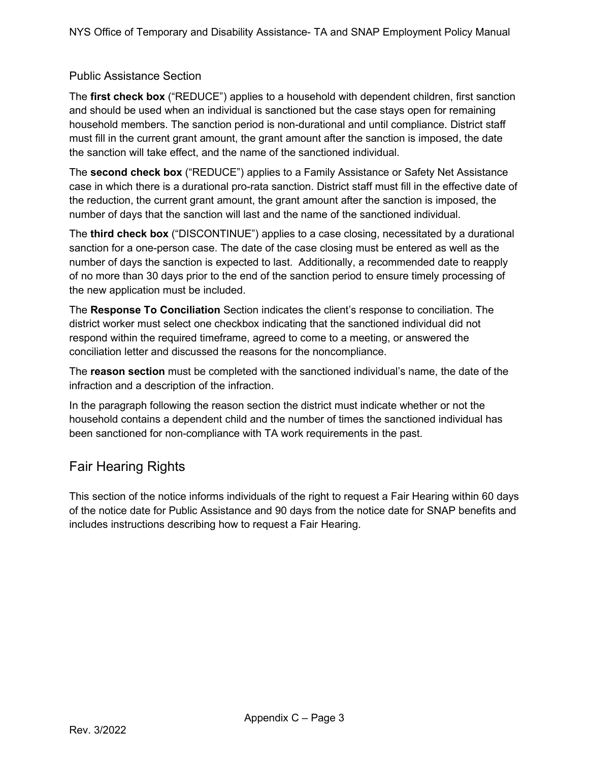#### Public Assistance Section

The **first check box** ("REDUCE") applies to a household with dependent children, first sanction and should be used when an individual is sanctioned but the case stays open for remaining household members. The sanction period is non-durational and until compliance. District staff must fill in the current grant amount, the grant amount after the sanction is imposed, the date the sanction will take effect, and the name of the sanctioned individual.

The **second check box** ("REDUCE") applies to a Family Assistance or Safety Net Assistance case in which there is a durational pro-rata sanction. District staff must fill in the effective date of the reduction, the current grant amount, the grant amount after the sanction is imposed, the number of days that the sanction will last and the name of the sanctioned individual.

The **third check box** ("DISCONTINUE") applies to a case closing, necessitated by a durational sanction for a one-person case. The date of the case closing must be entered as well as the number of days the sanction is expected to last. Additionally, a recommended date to reapply of no more than 30 days prior to the end of the sanction period to ensure timely processing of the new application must be included.

The **Response To Conciliation** Section indicates the client's response to conciliation. The district worker must select one checkbox indicating that the sanctioned individual did not respond within the required timeframe, agreed to come to a meeting, or answered the conciliation letter and discussed the reasons for the noncompliance.

The **reason section** must be completed with the sanctioned individual's name, the date of the infraction and a description of the infraction.

In the paragraph following the reason section the district must indicate whether or not the household contains a dependent child and the number of times the sanctioned individual has been sanctioned for non-compliance with TA work requirements in the past.

# Fair Hearing Rights

This section of the notice informs individuals of the right to request a Fair Hearing within 60 days of the notice date for Public Assistance and 90 days from the notice date for SNAP benefits and includes instructions describing how to request a Fair Hearing.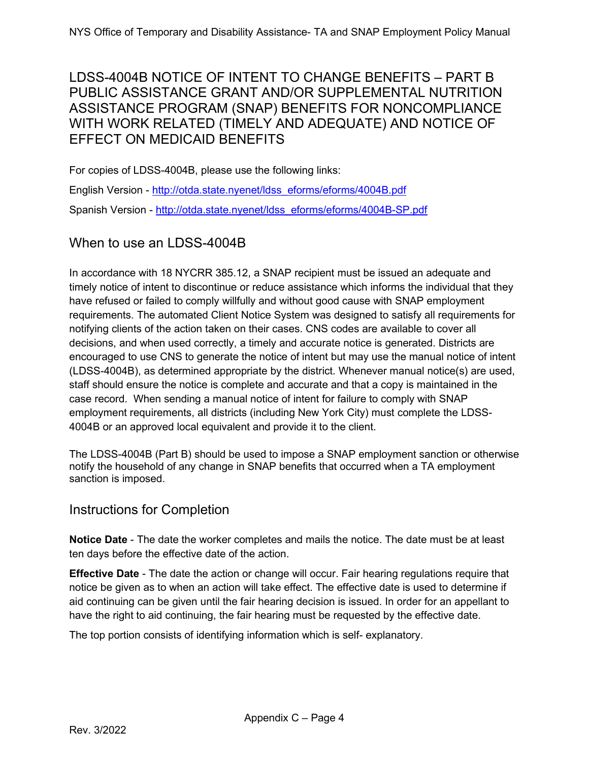# <span id="page-3-0"></span>LDSS-4004B NOTICE OF INTENT TO CHANGE BENEFITS – PART B PUBLIC ASSISTANCE GRANT AND/OR SUPPLEMENTAL NUTRITION ASSISTANCE PROGRAM (SNAP) BENEFITS FOR NONCOMPLIANCE WITH WORK RELATED (TIMELY AND ADEQUATE) AND NOTICE OF EFFECT ON MEDICAID BENEFITS

For copies of LDSS-4004B, please use the following links:

English Version - [http://otda.state.nyenet/ldss\\_eforms/eforms/4004B.pdf](http://otda.state.nyenet/ldss_eforms/eforms/4004B.pdf)  Spanish Version - [http://otda.state.nyenet/ldss\\_eforms/eforms/4004B-SP.pdf](http://otda.state.nyenet/ldss_eforms/eforms/4004B-SP.pdf)

# When to use an LDSS-4004B

In accordance with 18 NYCRR 385.12, a SNAP recipient must be issued an adequate and timely notice of intent to discontinue or reduce assistance which informs the individual that they have refused or failed to comply willfully and without good cause with SNAP employment requirements. The automated Client Notice System was designed to satisfy all requirements for notifying clients of the action taken on their cases. CNS codes are available to cover all decisions, and when used correctly, a timely and accurate notice is generated. Districts are encouraged to use CNS to generate the notice of intent but may use the manual notice of intent (LDSS-4004B), as determined appropriate by the district. Whenever manual notice(s) are used, staff should ensure the notice is complete and accurate and that a copy is maintained in the case record. When sending a manual notice of intent for failure to comply with SNAP employment requirements, all districts (including New York City) must complete the LDSS-4004B or an approved local equivalent and provide it to the client.

The LDSS-4004B (Part B) should be used to impose a SNAP employment sanction or otherwise notify the household of any change in SNAP benefits that occurred when a TA employment sanction is imposed.

#### Instructions for Completion

**Notice Date** - The date the worker completes and mails the notice. The date must be at least ten days before the effective date of the action.

**Effective Date** - The date the action or change will occur. Fair hearing regulations require that notice be given as to when an action will take effect. The effective date is used to determine if aid continuing can be given until the fair hearing decision is issued. In order for an appellant to have the right to aid continuing, the fair hearing must be requested by the effective date.

The top portion consists of identifying information which is self- explanatory.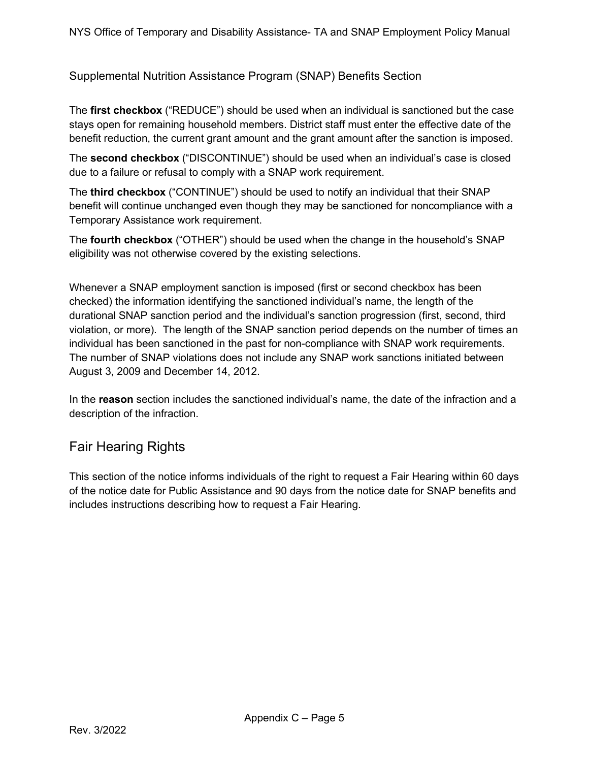Supplemental Nutrition Assistance Program (SNAP) Benefits Section

The **first checkbox** ("REDUCE") should be used when an individual is sanctioned but the case stays open for remaining household members. District staff must enter the effective date of the benefit reduction, the current grant amount and the grant amount after the sanction is imposed.

The **second checkbox** ("DISCONTINUE") should be used when an individual's case is closed due to a failure or refusal to comply with a SNAP work requirement.

The **third checkbox** ("CONTINUE") should be used to notify an individual that their SNAP benefit will continue unchanged even though they may be sanctioned for noncompliance with a Temporary Assistance work requirement.

The **fourth checkbox** ("OTHER") should be used when the change in the household's SNAP eligibility was not otherwise covered by the existing selections.

Whenever a SNAP employment sanction is imposed (first or second checkbox has been checked) the information identifying the sanctioned individual's name, the length of the durational SNAP sanction period and the individual's sanction progression (first, second, third violation, or more). The length of the SNAP sanction period depends on the number of times an individual has been sanctioned in the past for non-compliance with SNAP work requirements. The number of SNAP violations does not include any SNAP work sanctions initiated between August 3, 2009 and December 14, 2012.

In the **reason** section includes the sanctioned individual's name, the date of the infraction and a description of the infraction.

# Fair Hearing Rights

This section of the notice informs individuals of the right to request a Fair Hearing within 60 days of the notice date for Public Assistance and 90 days from the notice date for SNAP benefits and includes instructions describing how to request a Fair Hearing.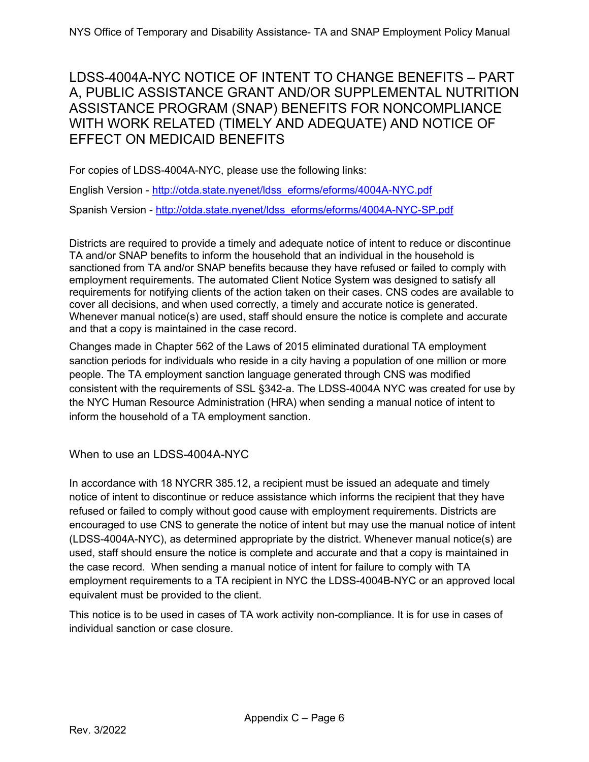# <span id="page-5-0"></span>LDSS-4004A-NYC NOTICE OF INTENT TO CHANGE BENEFITS – PART A, PUBLIC ASSISTANCE GRANT AND/OR SUPPLEMENTAL NUTRITION ASSISTANCE PROGRAM (SNAP) BENEFITS FOR NONCOMPLIANCE WITH WORK RELATED (TIMELY AND ADEQUATE) AND NOTICE OF EFFECT ON MEDICAID BENEFITS

For copies of LDSS-4004A-NYC, please use the following links:

English Version - [http://otda.state.nyenet/ldss\\_eforms/eforms/4004A-NYC.pdf](http://otda.state.nyenet/ldss_eforms/eforms/4004A-NYC.pdf)  Spanish Version - [http://otda.state.nyenet/ldss\\_eforms/eforms/4004A-NYC-SP.pdf](http://otda.state.nyenet/ldss_eforms/eforms/4004A-NYC-SP.pdf)

Districts are required to provide a timely and adequate notice of intent to reduce or discontinue TA and/or SNAP benefits to inform the household that an individual in the household is sanctioned from TA and/or SNAP benefits because they have refused or failed to comply with employment requirements. The automated Client Notice System was designed to satisfy all requirements for notifying clients of the action taken on their cases. CNS codes are available to cover all decisions, and when used correctly, a timely and accurate notice is generated. Whenever manual notice(s) are used, staff should ensure the notice is complete and accurate and that a copy is maintained in the case record.

Changes made in Chapter 562 of the Laws of 2015 eliminated durational TA employment sanction periods for individuals who reside in a city having a population of one million or more people. The TA employment sanction language generated through CNS was modified consistent with the requirements of SSL §342-a. The LDSS-4004A NYC was created for use by the NYC Human Resource Administration (HRA) when sending a manual notice of intent to inform the household of a TA employment sanction.

When to use an LDSS-4004A-NYC

In accordance with 18 NYCRR 385.12, a recipient must be issued an adequate and timely notice of intent to discontinue or reduce assistance which informs the recipient that they have refused or failed to comply without good cause with employment requirements. Districts are encouraged to use CNS to generate the notice of intent but may use the manual notice of intent (LDSS-4004A-NYC), as determined appropriate by the district. Whenever manual notice(s) are used, staff should ensure the notice is complete and accurate and that a copy is maintained in the case record. When sending a manual notice of intent for failure to comply with TA employment requirements to a TA recipient in NYC the LDSS-4004B-NYC or an approved local equivalent must be provided to the client.

This notice is to be used in cases of TA work activity non-compliance. It is for use in cases of individual sanction or case closure.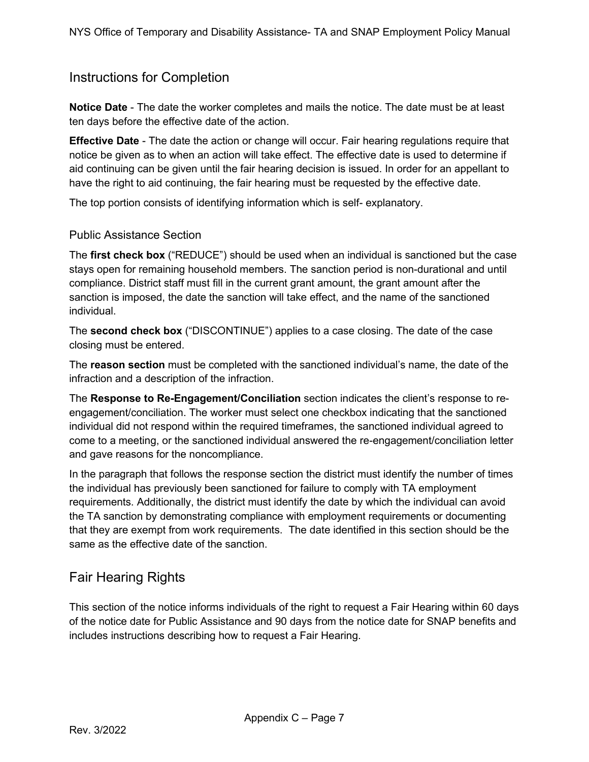#### Instructions for Completion

**Notice Date** - The date the worker completes and mails the notice. The date must be at least ten days before the effective date of the action.

**Effective Date** - The date the action or change will occur. Fair hearing regulations require that notice be given as to when an action will take effect. The effective date is used to determine if aid continuing can be given until the fair hearing decision is issued. In order for an appellant to have the right to aid continuing, the fair hearing must be requested by the effective date.

The top portion consists of identifying information which is self- explanatory.

#### Public Assistance Section

The **first check box** ("REDUCE") should be used when an individual is sanctioned but the case stays open for remaining household members. The sanction period is non-durational and until compliance. District staff must fill in the current grant amount, the grant amount after the sanction is imposed, the date the sanction will take effect, and the name of the sanctioned individual.

The **second check box** ("DISCONTINUE") applies to a case closing. The date of the case closing must be entered.

The **reason section** must be completed with the sanctioned individual's name, the date of the infraction and a description of the infraction.

The **Response to Re-Engagement/Conciliation** section indicates the client's response to reengagement/conciliation. The worker must select one checkbox indicating that the sanctioned individual did not respond within the required timeframes, the sanctioned individual agreed to come to a meeting, or the sanctioned individual answered the re-engagement/conciliation letter and gave reasons for the noncompliance.

In the paragraph that follows the response section the district must identify the number of times the individual has previously been sanctioned for failure to comply with TA employment requirements. Additionally, the district must identify the date by which the individual can avoid the TA sanction by demonstrating compliance with employment requirements or documenting that they are exempt from work requirements. The date identified in this section should be the same as the effective date of the sanction.

#### Fair Hearing Rights

This section of the notice informs individuals of the right to request a Fair Hearing within 60 days of the notice date for Public Assistance and 90 days from the notice date for SNAP benefits and includes instructions describing how to request a Fair Hearing.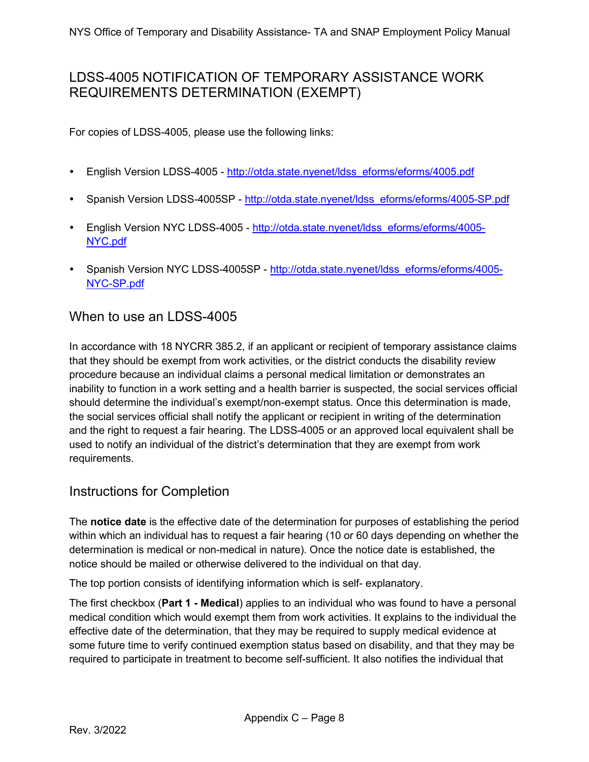# <span id="page-7-0"></span>LDSS-4005 NOTIFICATION OF TEMPORARY ASSISTANCE WORK REQUIREMENTS DETERMINATION (EXEMPT)

For copies of LDSS-4005, please use the following links:

- English Version LDSS-4005 - [http://otda.state.nyenet/ldss\\_eforms/eforms/4005.pdf](http://otda.state.nyenet/ldss_eforms/eforms/4005.pdf)
- Spanish Version LDSS-4005SP - [http://otda.state.nyenet/ldss\\_eforms/eforms/4005-SP.pdf](http://otda.state.nyenet/ldss_eforms/eforms/4005-SP.pdf)
- English Version NYC LDSS-4005 - [http://otda.state.nyenet/ldss\\_eforms/eforms/4005-](http://otda.state.nyenet/ldss_eforms/eforms/4005-NYC.pdf) [NYC.pdf](http://otda.state.nyenet/ldss_eforms/eforms/4005-NYC.pdf)
- Spanish Version NYC LDSS-4005SP - [http://otda.state.nyenet/ldss\\_eforms/eforms/4005-](http://otda.state.nyenet/ldss_eforms/eforms/4005-NYC-SP.pdf) [NYC-SP.pdf](http://otda.state.nyenet/ldss_eforms/eforms/4005-NYC-SP.pdf)

#### When to use an LDSS-4005

In accordance with 18 NYCRR 385.2, if an applicant or recipient of temporary assistance claims that they should be exempt from work activities, or the district conducts the disability review procedure because an individual claims a personal medical limitation or demonstrates an inability to function in a work setting and a health barrier is suspected, the social services official should determine the individual's exempt/non-exempt status. Once this determination is made, the social services official shall notify the applicant or recipient in writing of the determination and the right to request a fair hearing. The LDSS-4005 or an approved local equivalent shall be used to notify an individual of the district's determination that they are exempt from work requirements.

# Instructions for Completion

The **notice date** is the effective date of the determination for purposes of establishing the period within which an individual has to request a fair hearing (10 or 60 days depending on whether the determination is medical or non-medical in nature). Once the notice date is established, the notice should be mailed or otherwise delivered to the individual on that day.

The top portion consists of identifying information which is self- explanatory.

The first checkbox (**Part 1 - Medical**) applies to an individual who was found to have a personal medical condition which would exempt them from work activities. It explains to the individual the effective date of the determination, that they may be required to supply medical evidence at some future time to verify continued exemption status based on disability, and that they may be required to participate in treatment to become self-sufficient. It also notifies the individual that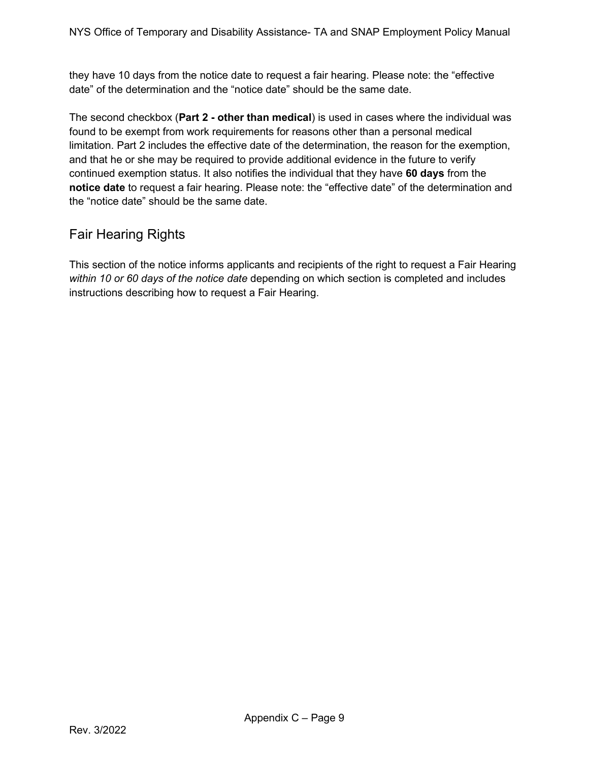they have 10 days from the notice date to request a fair hearing. Please note: the "effective date" of the determination and the "notice date" should be the same date.

The second checkbox (**Part 2 - other than medical**) is used in cases where the individual was found to be exempt from work requirements for reasons other than a personal medical limitation. Part 2 includes the effective date of the determination, the reason for the exemption, and that he or she may be required to provide additional evidence in the future to verify continued exemption status. It also notifies the individual that they have **60 days** from the **notice date** to request a fair hearing. Please note: the "effective date" of the determination and the "notice date" should be the same date.

# Fair Hearing Rights

This section of the notice informs applicants and recipients of the right to request a Fair Hearing *within 10 or 60 days of the notice date* depending on which section is completed and includes instructions describing how to request a Fair Hearing.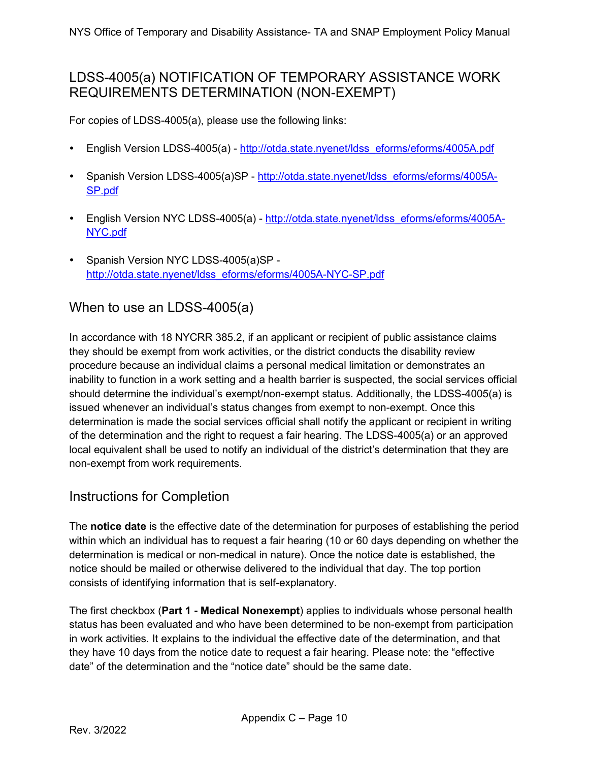# <span id="page-9-0"></span>LDSS-4005(a) NOTIFICATION OF TEMPORARY ASSISTANCE WORK REQUIREMENTS DETERMINATION (NON-EXEMPT)

For copies of LDSS-4005(a), please use the following links:

- English Version LDSS-4005(a) - [http://otda.state.nyenet/ldss\\_eforms/eforms/4005A.pdf](http://otda.state.nyenet/ldss_eforms/eforms/4005A.pdf)
- Spanish Version LDSS-4005(a)SP - [http://otda.state.nyenet/ldss\\_eforms/eforms/4005A-](http://otda.state.nyenet/ldss_eforms/eforms/4005A-SP.pdf)[SP.pdf](http://otda.state.nyenet/ldss_eforms/eforms/4005A-SP.pdf)
- English Version NYC LDSS-4005(a) - [http://otda.state.nyenet/ldss\\_eforms/eforms/4005A-](http://otda.state.nyenet/ldss_eforms/eforms/4005A-NYC.pdf)[NYC.pdf](http://otda.state.nyenet/ldss_eforms/eforms/4005A-NYC.pdf)
- Spanish Version NYC LDSS-4005(a)SP [http://otda.state.nyenet/ldss\\_eforms/eforms/4005A-NYC-SP.pdf](http://otda.state.nyenet/ldss_eforms/eforms/4005A-NYC-SP.pdf)

#### When to use an LDSS-4005(a)

In accordance with 18 NYCRR 385.2, if an applicant or recipient of public assistance claims they should be exempt from work activities, or the district conducts the disability review procedure because an individual claims a personal medical limitation or demonstrates an inability to function in a work setting and a health barrier is suspected, the social services official should determine the individual's exempt/non-exempt status. Additionally, the LDSS-4005(a) is issued whenever an individual's status changes from exempt to non-exempt. Once this determination is made the social services official shall notify the applicant or recipient in writing of the determination and the right to request a fair hearing. The LDSS-4005(a) or an approved local equivalent shall be used to notify an individual of the district's determination that they are non-exempt from work requirements.

# Instructions for Completion

The **notice date** is the effective date of the determination for purposes of establishing the period within which an individual has to request a fair hearing (10 or 60 days depending on whether the determination is medical or non-medical in nature). Once the notice date is established, the notice should be mailed or otherwise delivered to the individual that day. The top portion consists of identifying information that is self-explanatory.

The first checkbox (**Part 1 - Medical Nonexempt**) applies to individuals whose personal health status has been evaluated and who have been determined to be non-exempt from participation in work activities. It explains to the individual the effective date of the determination, and that they have 10 days from the notice date to request a fair hearing. Please note: the "effective date" of the determination and the "notice date" should be the same date.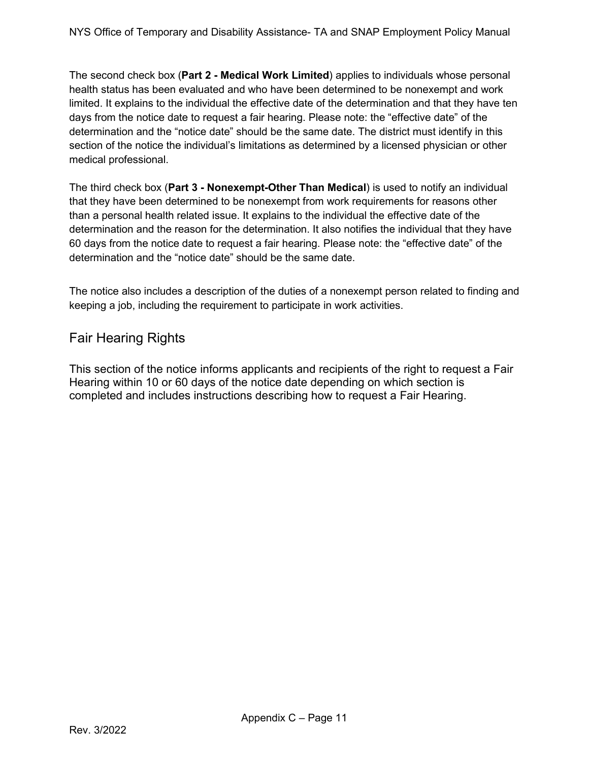The second check box (**Part 2 - Medical Work Limited**) applies to individuals whose personal health status has been evaluated and who have been determined to be nonexempt and work limited. It explains to the individual the effective date of the determination and that they have ten days from the notice date to request a fair hearing. Please note: the "effective date" of the determination and the "notice date" should be the same date. The district must identify in this section of the notice the individual's limitations as determined by a licensed physician or other medical professional.

The third check box (**Part 3 - Nonexempt-Other Than Medical**) is used to notify an individual that they have been determined to be nonexempt from work requirements for reasons other than a personal health related issue. It explains to the individual the effective date of the determination and the reason for the determination. It also notifies the individual that they have 60 days from the notice date to request a fair hearing. Please note: the "effective date" of the determination and the "notice date" should be the same date.

The notice also includes a description of the duties of a nonexempt person related to finding and keeping a job, including the requirement to participate in work activities.

# Fair Hearing Rights

This section of the notice informs applicants and recipients of the right to request a Fair Hearing within 10 or 60 days of the notice date depending on which section is completed and includes instructions describing how to request a Fair Hearing.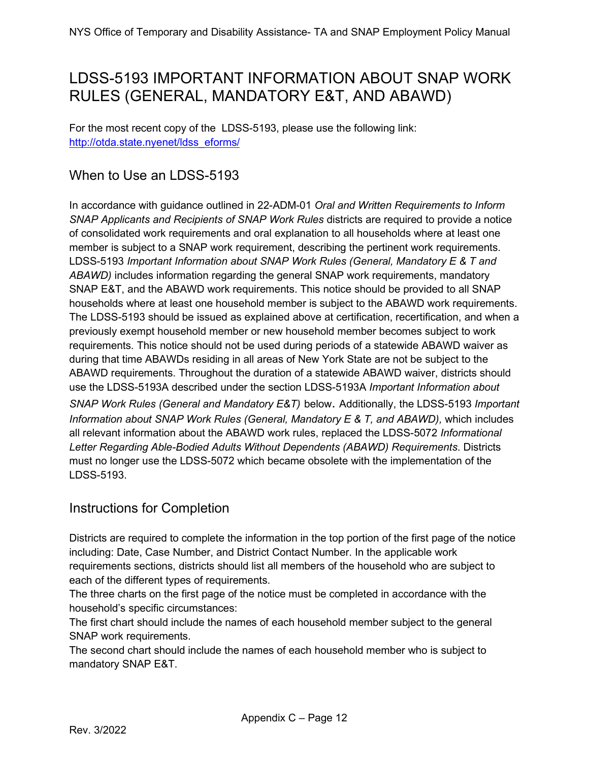# <span id="page-11-0"></span>LDSS-5193 IMPORTANT INFORMATION ABOUT SNAP WORK RULES (GENERAL, MANDATORY E&T, AND ABAWD)

For the most recent copy of the LDSS-5193, please use the following link: [http://otda.state.nyenet/ldss\\_eforms/](http://otda.state.nyenet/ldss_eforms/)

# When to Use an LDSS-5193

In accordance with guidance outlined in 22-ADM-01 *Oral and Written Requirements to Inform SNAP Applicants and Recipients of SNAP Work Rules* districts are required to provide a notice of consolidated work requirements and oral explanation to all households where at least one member is subject to a SNAP work requirement, describing the pertinent work requirements. LDSS-5193 *Important Information about SNAP Work Rules (General, Mandatory E & T and ABAWD)* includes information regarding the general SNAP work requirements, mandatory SNAP E&T, and the ABAWD work requirements. This notice should be provided to all SNAP households where at least one household member is subject to the ABAWD work requirements. The LDSS-5193 should be issued as explained above at certification, recertification, and when a previously exempt household member or new household member becomes subject to work requirements. This notice should not be used during periods of a statewide ABAWD waiver as during that time ABAWDs residing in all areas of New York State are not be subject to the ABAWD requirements. Throughout the duration of a statewide ABAWD waiver, districts should use the LDSS-5193A described under the section LDSS-5193A *Important Information about SNAP Work Rules (General and Mandatory E&T)* below. Additionally, the LDSS-5193 *Important Information about SNAP Work Rules (General, Mandatory E & T, and ABAWD), which includes* all relevant information about the ABAWD work rules, replaced the LDSS-5072 *Informational Letter Regarding Able-Bodied Adults Without Dependents (ABAWD) Requirements*. Districts must no longer use the LDSS-5072 which became obsolete with the implementation of the LDSS-5193.

# Instructions for Completion

Districts are required to complete the information in the top portion of the first page of the notice including: Date, Case Number, and District Contact Number. In the applicable work requirements sections, districts should list all members of the household who are subject to each of the different types of requirements.

The three charts on the first page of the notice must be completed in accordance with the household's specific circumstances:

The first chart should include the names of each household member subject to the general SNAP work requirements.

The second chart should include the names of each household member who is subject to mandatory SNAP E&T.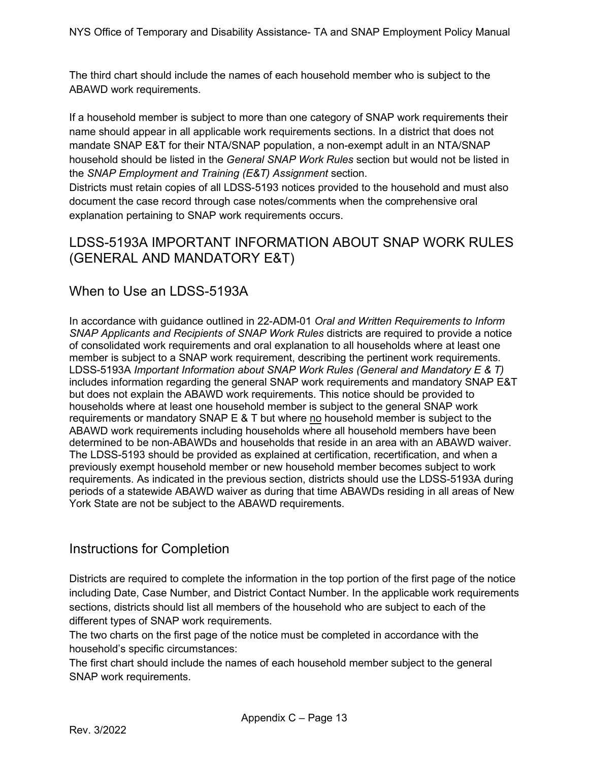The third chart should include the names of each household member who is subject to the ABAWD work requirements.

If a household member is subject to more than one category of SNAP work requirements their name should appear in all applicable work requirements sections. In a district that does not mandate SNAP E&T for their NTA/SNAP population, a non-exempt adult in an NTA/SNAP household should be listed in the *General SNAP Work Rules* section but would not be listed in the *SNAP Employment and Training (E&T) Assignment* section.

Districts must retain copies of all LDSS-5193 notices provided to the household and must also document the case record through case notes/comments when the comprehensive oral explanation pertaining to SNAP work requirements occurs.

# <span id="page-12-0"></span>LDSS-5193A IMPORTANT INFORMATION ABOUT SNAP WORK RULES (GENERAL AND MANDATORY E&T)

# When to Use an LDSS-5193A

In accordance with guidance outlined in 22-ADM-01 *Oral and Written Requirements to Inform SNAP Applicants and Recipients of SNAP Work Rules* districts are required to provide a notice of consolidated work requirements and oral explanation to all households where at least one member is subject to a SNAP work requirement, describing the pertinent work requirements. LDSS-5193A *Important Information about SNAP Work Rules (General and Mandatory E & T)*  includes information regarding the general SNAP work requirements and mandatory SNAP E&T but does not explain the ABAWD work requirements. This notice should be provided to households where at least one household member is subject to the general SNAP work requirements or mandatory SNAP E & T but where no household member is subject to the ABAWD work requirements including households where all household members have been determined to be non-ABAWDs and households that reside in an area with an ABAWD waiver. The LDSS-5193 should be provided as explained at certification, recertification, and when a previously exempt household member or new household member becomes subject to work requirements. As indicated in the previous section, districts should use the LDSS-5193A during periods of a statewide ABAWD waiver as during that time ABAWDs residing in all areas of New York State are not be subject to the ABAWD requirements.

#### Instructions for Completion

Districts are required to complete the information in the top portion of the first page of the notice including Date, Case Number, and District Contact Number. In the applicable work requirements sections, districts should list all members of the household who are subject to each of the different types of SNAP work requirements.

The two charts on the first page of the notice must be completed in accordance with the household's specific circumstances:

The first chart should include the names of each household member subject to the general SNAP work requirements.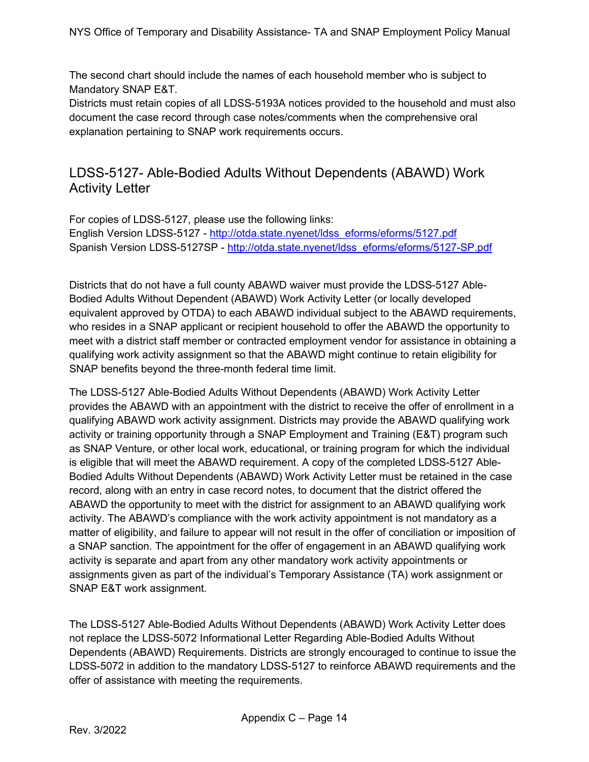The second chart should include the names of each household member who is subject to Mandatory SNAP E&T.

Districts must retain copies of all LDSS-5193A notices provided to the household and must also document the case record through case notes/comments when the comprehensive oral explanation pertaining to SNAP work requirements occurs.

# <span id="page-13-0"></span>LDSS-5127- Able-Bodied Adults Without Dependents (ABAWD) Work Activity Letter

For copies of LDSS-5127, please use the following links: English Version LDSS-5127 - [http://otda.state.nyenet/ldss\\_eforms/eforms/5127.pdf](http://otda.state.nyenet/ldss_eforms/eforms/5127.pdf) Spanish Version LDSS-5127SP - [http://otda.state.nyenet/ldss\\_eforms/eforms/5127-SP.pdf](http://otda.state.nyenet/ldss_eforms/eforms/5127-SP.pdf) 

Districts that do not have a full county ABAWD waiver must provide the LDSS-5127 Able-Bodied Adults Without Dependent (ABAWD) Work Activity Letter (or locally developed equivalent approved by OTDA) to each ABAWD individual subject to the ABAWD requirements, who resides in a SNAP applicant or recipient household to offer the ABAWD the opportunity to meet with a district staff member or contracted employment vendor for assistance in obtaining a qualifying work activity assignment so that the ABAWD might continue to retain eligibility for SNAP benefits beyond the three-month federal time limit.

The LDSS-5127 Able-Bodied Adults Without Dependents (ABAWD) Work Activity Letter provides the ABAWD with an appointment with the district to receive the offer of enrollment in a qualifying ABAWD work activity assignment. Districts may provide the ABAWD qualifying work activity or training opportunity through a SNAP Employment and Training (E&T) program such as SNAP Venture, or other local work, educational, or training program for which the individual is eligible that will meet the ABAWD requirement. A copy of the completed LDSS-5127 Able-Bodied Adults Without Dependents (ABAWD) Work Activity Letter must be retained in the case record, along with an entry in case record notes, to document that the district offered the ABAWD the opportunity to meet with the district for assignment to an ABAWD qualifying work activity. The ABAWD's compliance with the work activity appointment is not mandatory as a matter of eligibility, and failure to appear will not result in the offer of conciliation or imposition of a SNAP sanction. The appointment for the offer of engagement in an ABAWD qualifying work activity is separate and apart from any other mandatory work activity appointments or assignments given as part of the individual's Temporary Assistance (TA) work assignment or SNAP E&T work assignment.

The LDSS-5127 Able-Bodied Adults Without Dependents (ABAWD) Work Activity Letter does not replace the LDSS-5072 Informational Letter Regarding Able-Bodied Adults Without Dependents (ABAWD) Requirements. Districts are strongly encouraged to continue to issue the LDSS-5072 in addition to the mandatory LDSS-5127 to reinforce ABAWD requirements and the offer of assistance with meeting the requirements.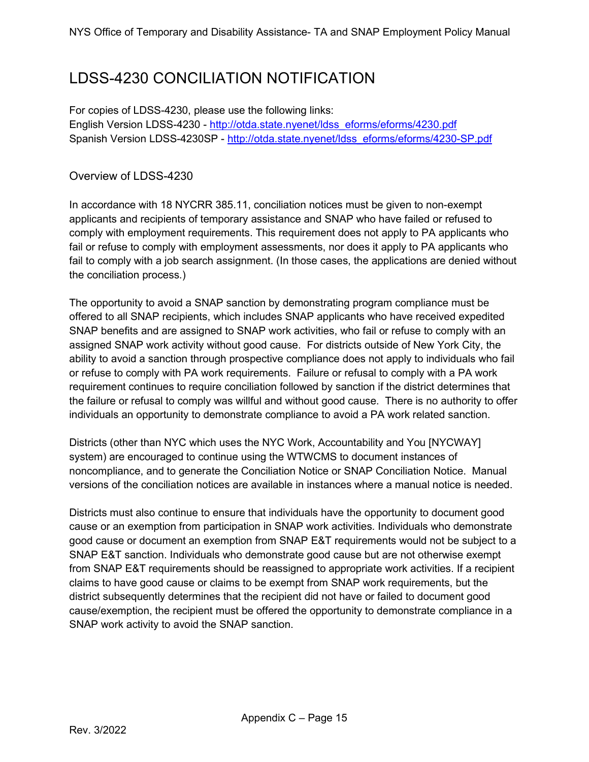# <span id="page-14-0"></span>LDSS-4230 CONCILIATION NOTIFICATION

For copies of LDSS-4230, please use the following links: English Version LDSS-4230 - [http://otda.state.nyenet/ldss\\_eforms/eforms/4230.pdf](http://otda.state.nyenet/ldss_eforms/eforms/4230.pdf) Spanish Version LDSS-4230SP - [http://otda.state.nyenet/ldss\\_eforms/eforms/4230-SP.pdf](http://otda.state.nyenet/ldss_eforms/eforms/4230-SP.pdf)

#### Overview of LDSS-4230

In accordance with 18 NYCRR 385.11, conciliation notices must be given to non-exempt applicants and recipients of temporary assistance and SNAP who have failed or refused to comply with employment requirements. This requirement does not apply to PA applicants who fail or refuse to comply with employment assessments, nor does it apply to PA applicants who fail to comply with a job search assignment. (In those cases, the applications are denied without the conciliation process.)

The opportunity to avoid a SNAP sanction by demonstrating program compliance must be offered to all SNAP recipients, which includes SNAP applicants who have received expedited SNAP benefits and are assigned to SNAP work activities, who fail or refuse to comply with an assigned SNAP work activity without good cause. For districts outside of New York City, the ability to avoid a sanction through prospective compliance does not apply to individuals who fail or refuse to comply with PA work requirements. Failure or refusal to comply with a PA work requirement continues to require conciliation followed by sanction if the district determines that the failure or refusal to comply was willful and without good cause. There is no authority to offer individuals an opportunity to demonstrate compliance to avoid a PA work related sanction.

Districts (other than NYC which uses the NYC Work, Accountability and You [NYCWAY] system) are encouraged to continue using the WTWCMS to document instances of noncompliance, and to generate the Conciliation Notice or SNAP Conciliation Notice. Manual versions of the conciliation notices are available in instances where a manual notice is needed.

Districts must also continue to ensure that individuals have the opportunity to document good cause or an exemption from participation in SNAP work activities. Individuals who demonstrate good cause or document an exemption from SNAP E&T requirements would not be subject to a SNAP E&T sanction. Individuals who demonstrate good cause but are not otherwise exempt from SNAP E&T requirements should be reassigned to appropriate work activities. If a recipient claims to have good cause or claims to be exempt from SNAP work requirements, but the district subsequently determines that the recipient did not have or failed to document good cause/exemption, the recipient must be offered the opportunity to demonstrate compliance in a SNAP work activity to avoid the SNAP sanction.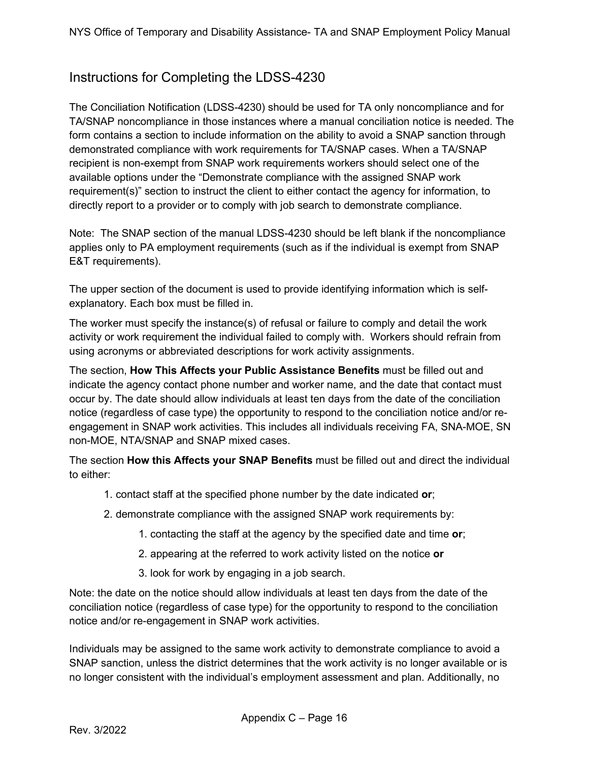# Instructions for Completing the LDSS-4230

The Conciliation Notification (LDSS-4230) should be used for TA only noncompliance and for TA/SNAP noncompliance in those instances where a manual conciliation notice is needed. The form contains a section to include information on the ability to avoid a SNAP sanction through demonstrated compliance with work requirements for TA/SNAP cases. When a TA/SNAP recipient is non-exempt from SNAP work requirements workers should select one of the available options under the "Demonstrate compliance with the assigned SNAP work requirement(s)" section to instruct the client to either contact the agency for information, to directly report to a provider or to comply with job search to demonstrate compliance.

Note: The SNAP section of the manual LDSS-4230 should be left blank if the noncompliance applies only to PA employment requirements (such as if the individual is exempt from SNAP E&T requirements).

The upper section of the document is used to provide identifying information which is selfexplanatory. Each box must be filled in.

The worker must specify the instance(s) of refusal or failure to comply and detail the work activity or work requirement the individual failed to comply with. Workers should refrain from using acronyms or abbreviated descriptions for work activity assignments.

The section, **How This Affects your Public Assistance Benefits** must be filled out and indicate the agency contact phone number and worker name, and the date that contact must occur by. The date should allow individuals at least ten days from the date of the conciliation notice (regardless of case type) the opportunity to respond to the conciliation notice and/or reengagement in SNAP work activities. This includes all individuals receiving FA, SNA-MOE, SN non-MOE, NTA/SNAP and SNAP mixed cases.

The section **How this Affects your SNAP Benefits** must be filled out and direct the individual to either:

- 1. contact staff at the specified phone number by the date indicated **or**;
- 2. demonstrate compliance with the assigned SNAP work requirements by:
	- 1. contacting the staff at the agency by the specified date and time **or**;
	- 2. appearing at the referred to work activity listed on the notice **or**
	- 3. look for work by engaging in a job search.

Note: the date on the notice should allow individuals at least ten days from the date of the conciliation notice (regardless of case type) for the opportunity to respond to the conciliation notice and/or re-engagement in SNAP work activities.

Individuals may be assigned to the same work activity to demonstrate compliance to avoid a SNAP sanction, unless the district determines that the work activity is no longer available or is no longer consistent with the individual's employment assessment and plan. Additionally, no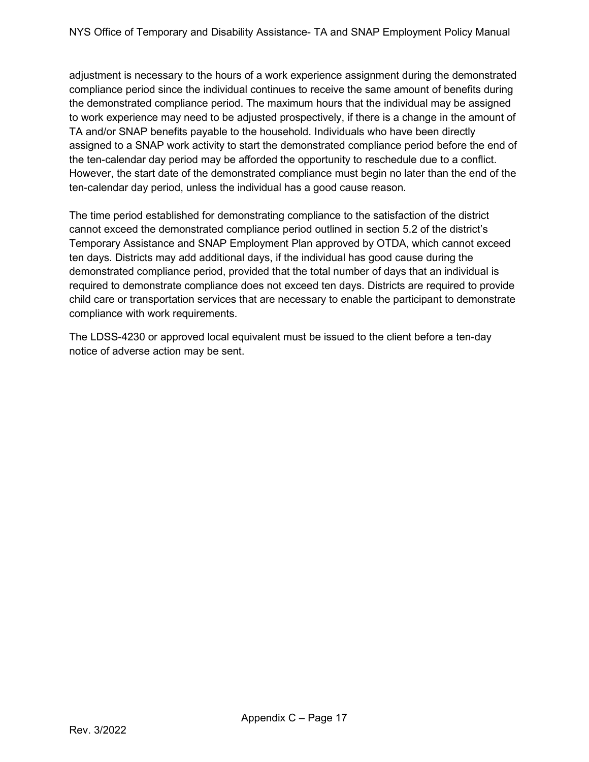adjustment is necessary to the hours of a work experience assignment during the demonstrated compliance period since the individual continues to receive the same amount of benefits during the demonstrated compliance period. The maximum hours that the individual may be assigned to work experience may need to be adjusted prospectively, if there is a change in the amount of TA and/or SNAP benefits payable to the household. Individuals who have been directly assigned to a SNAP work activity to start the demonstrated compliance period before the end of the ten-calendar day period may be afforded the opportunity to reschedule due to a conflict. However, the start date of the demonstrated compliance must begin no later than the end of the ten-calendar day period, unless the individual has a good cause reason.

The time period established for demonstrating compliance to the satisfaction of the district cannot exceed the demonstrated compliance period outlined in section 5.2 of the district's Temporary Assistance and SNAP Employment Plan approved by OTDA, which cannot exceed ten days. Districts may add additional days, if the individual has good cause during the demonstrated compliance period, provided that the total number of days that an individual is required to demonstrate compliance does not exceed ten days. Districts are required to provide child care or transportation services that are necessary to enable the participant to demonstrate compliance with work requirements.

The LDSS-4230 or approved local equivalent must be issued to the client before a ten-day notice of adverse action may be sent.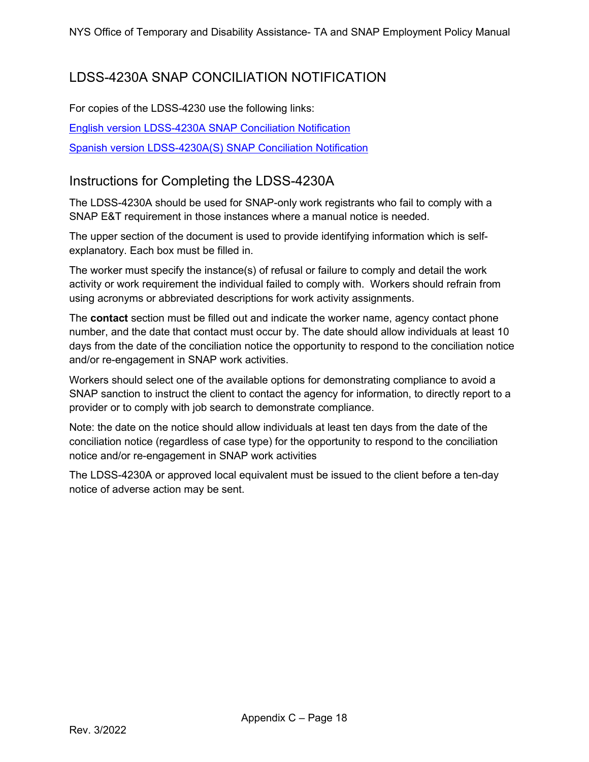# <span id="page-17-0"></span>LDSS-4230A SNAP CONCILIATION NOTIFICATION

For copies of the LDSS-4230 use the following links:

[English version LDSS-4230A SNAP Conciliation Notification](https://otda.state.nyenet/ldss_eforms/eforms/4230A.pdf)

[Spanish version LDSS-4230A\(S\) SNAP Conciliation Notification](https://otda.state.nyenet/ldss_eforms/eforms/4230A-SP.pdf)

# Instructions for Completing the LDSS-4230A

The LDSS-4230A should be used for SNAP-only work registrants who fail to comply with a SNAP E&T requirement in those instances where a manual notice is needed.

The upper section of the document is used to provide identifying information which is selfexplanatory. Each box must be filled in.

The worker must specify the instance(s) of refusal or failure to comply and detail the work activity or work requirement the individual failed to comply with. Workers should refrain from using acronyms or abbreviated descriptions for work activity assignments.

The **contact** section must be filled out and indicate the worker name, agency contact phone number, and the date that contact must occur by. The date should allow individuals at least 10 days from the date of the conciliation notice the opportunity to respond to the conciliation notice and/or re-engagement in SNAP work activities.

Workers should select one of the available options for demonstrating compliance to avoid a SNAP sanction to instruct the client to contact the agency for information, to directly report to a provider or to comply with job search to demonstrate compliance.

Note: the date on the notice should allow individuals at least ten days from the date of the conciliation notice (regardless of case type) for the opportunity to respond to the conciliation notice and/or re-engagement in SNAP work activities

The LDSS-4230A or approved local equivalent must be issued to the client before a ten-day notice of adverse action may be sent.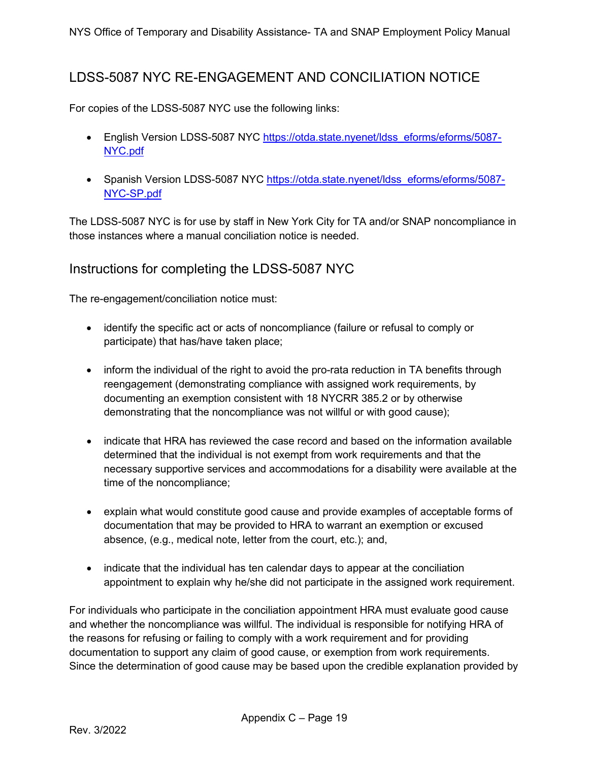# <span id="page-18-0"></span>LDSS-5087 NYC RE-ENGAGEMENT AND CONCILIATION NOTICE

For copies of the LDSS-5087 NYC use the following links:

- English Version LDSS-5087 NYC [https://otda.state.nyenet/ldss\\_eforms/eforms/5087-](https://otda.state.nyenet/ldss_eforms/eforms/5087-NYC.pdf) [NYC.pdf](https://otda.state.nyenet/ldss_eforms/eforms/5087-NYC.pdf)
- Spanish Version LDSS-5087 NYC [https://otda.state.nyenet/ldss\\_eforms/eforms/5087-](https://otda.state.nyenet/ldss_eforms/eforms/5087-NYC-SP.pdf) [NYC-SP.pdf](https://otda.state.nyenet/ldss_eforms/eforms/5087-NYC-SP.pdf)

The LDSS-5087 NYC is for use by staff in New York City for TA and/or SNAP noncompliance in those instances where a manual conciliation notice is needed.

#### Instructions for completing the LDSS-5087 NYC

The re-engagement/conciliation notice must:

- identify the specific act or acts of noncompliance (failure or refusal to comply or participate) that has/have taken place;
- inform the individual of the right to avoid the pro-rata reduction in TA benefits through reengagement (demonstrating compliance with assigned work requirements, by documenting an exemption consistent with 18 NYCRR 385.2 or by otherwise demonstrating that the noncompliance was not willful or with good cause);
- indicate that HRA has reviewed the case record and based on the information available determined that the individual is not exempt from work requirements and that the necessary supportive services and accommodations for a disability were available at the time of the noncompliance;
- explain what would constitute good cause and provide examples of acceptable forms of documentation that may be provided to HRA to warrant an exemption or excused absence, (e.g., medical note, letter from the court, etc.); and,
- indicate that the individual has ten calendar days to appear at the conciliation appointment to explain why he/she did not participate in the assigned work requirement.

For individuals who participate in the conciliation appointment HRA must evaluate good cause and whether the noncompliance was willful. The individual is responsible for notifying HRA of the reasons for refusing or failing to comply with a work requirement and for providing documentation to support any claim of good cause, or exemption from work requirements. Since the determination of good cause may be based upon the credible explanation provided by